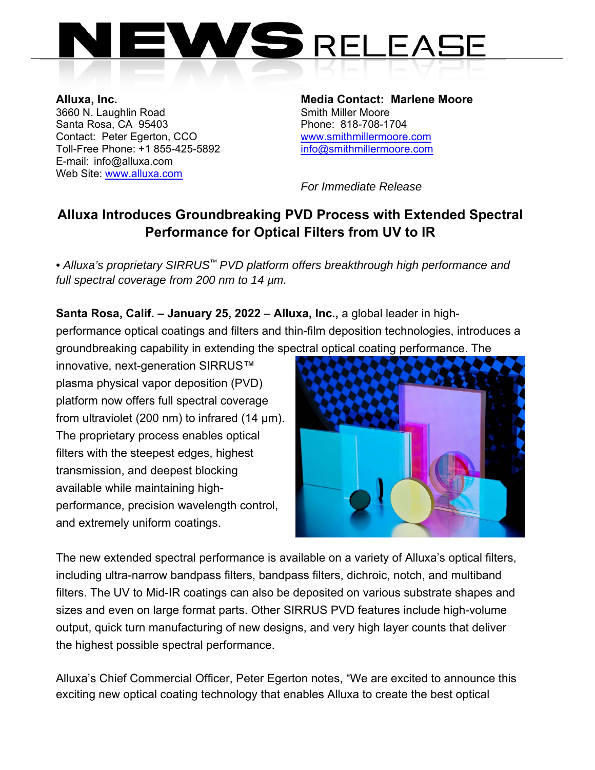

3660 N. Laughlin Road Santa Rosa, CA 95403 Phone: 818-708-1704 Contact: Peter Egerton, CCO www.smithmillermoore.com Toll-Free Phone: +1 855-425-5892 info@smithmillermoore.com E-mail: info@alluxa.com Web Site: www.alluxa.com

**Alluxa, Inc. Alluxa, Inc. Alluxa, Inc.** Media Contact: Marlene Moore 3660 N. Laughlin Road

 *For Immediate Release* 

## **Alluxa Introduces Groundbreaking PVD Process with Extended Spectral Performance for Optical Filters from UV to IR**

*• Alluxa's proprietary SIRRUS™ PVD platform offers breakthrough high performance and full spectral coverage from 200 nm to 14 µm.*

**Santa Rosa, Calif. – January 25, 2022** – **Alluxa, Inc.,** a global leader in highperformance optical coatings and filters and thin-film deposition technologies, introduces a groundbreaking capability in extending the spectral optical coating performance. The

innovative, next-generation SIRRUS™ plasma physical vapor deposition (PVD) platform now offers full spectral coverage from ultraviolet (200 nm) to infrared (14 µm). The proprietary process enables optical filters with the steepest edges, highest transmission, and deepest blocking available while maintaining highperformance, precision wavelength control, and extremely uniform coatings.



The new extended spectral performance is available on a variety of Alluxa's optical filters, including ultra-narrow bandpass filters, bandpass filters, dichroic, notch, and multiband filters. The UV to Mid-IR coatings can also be deposited on various substrate shapes and sizes and even on large format parts. Other SIRRUS PVD features include high-volume output, quick turn manufacturing of new designs, and very high layer counts that deliver the highest possible spectral performance.

Alluxa's Chief Commercial Officer, Peter Egerton notes, "We are excited to announce this exciting new optical coating technology that enables Alluxa to create the best optical